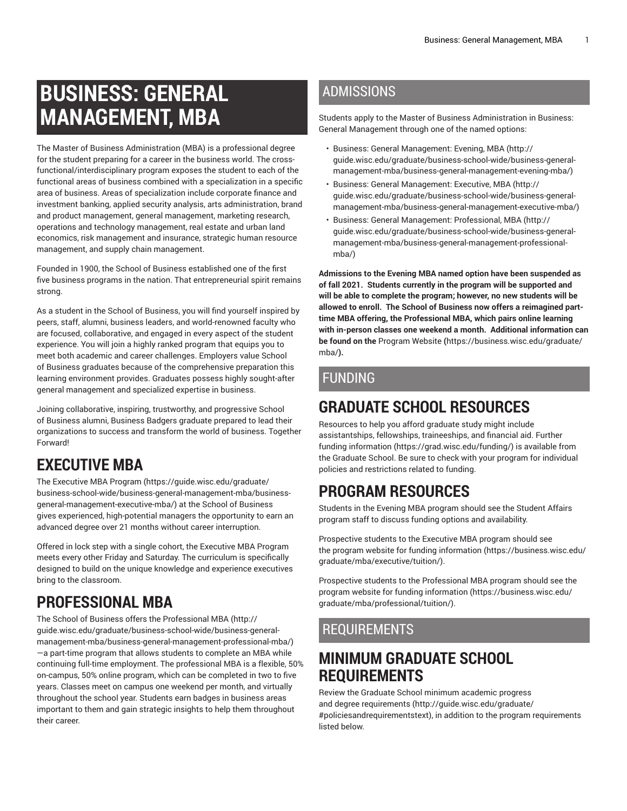# **BUSINESS: GENERAL MANAGEMENT, MBA**

The Master of Business Administration (MBA) is a professional degree for the student preparing for a career in the business world. The crossfunctional/interdisciplinary program exposes the student to each of the functional areas of business combined with a specialization in a specific area of business. Areas of specialization include corporate finance and investment banking, applied security analysis, arts administration, brand and product management, general management, marketing research, operations and technology management, real estate and urban land economics, risk management and insurance, strategic human resource management, and supply chain management.

Founded in 1900, the School of Business established one of the first five business programs in the nation. That entrepreneurial spirit remains strong.

As a student in the School of Business, you will find yourself inspired by peers, staff, alumni, business leaders, and world-renowned faculty who are focused, collaborative, and engaged in every aspect of the student experience. You will join a highly ranked program that equips you to meet both academic and career challenges. Employers value School of Business graduates because of the comprehensive preparation this learning environment provides. Graduates possess highly sought-after general management and specialized expertise in business.

Joining collaborative, inspiring, trustworthy, and progressive School of Business alumni, Business Badgers graduate prepared to lead their organizations to success and transform the world of business. Together Forward!

# **EXECUTIVE MBA**

The [Executive](https://guide.wisc.edu/graduate/business-school-wide/business-general-management-mba/business-general-management-executive-mba/) MBA Program ([https://guide.wisc.edu/graduate/](https://guide.wisc.edu/graduate/business-school-wide/business-general-management-mba/business-general-management-executive-mba/) [business-school-wide/business-general-management-mba/business](https://guide.wisc.edu/graduate/business-school-wide/business-general-management-mba/business-general-management-executive-mba/)[general-management-executive-mba/](https://guide.wisc.edu/graduate/business-school-wide/business-general-management-mba/business-general-management-executive-mba/)) at the School of Business gives experienced, high-potential managers the opportunity to earn an advanced degree over 21 months without career interruption.

Offered in lock step with a single cohort, the Executive MBA Program meets every other Friday and Saturday. The curriculum is specifically designed to build on the unique knowledge and experience executives bring to the classroom.

# **PROFESSIONAL MBA**

The School of Business offers the [Professional](http://guide.wisc.edu/graduate/business-school-wide/business-general-management-mba/business-general-management-professional-mba/) MBA [\(http://](http://guide.wisc.edu/graduate/business-school-wide/business-general-management-mba/business-general-management-professional-mba/) [guide.wisc.edu/graduate/business-school-wide/business-general](http://guide.wisc.edu/graduate/business-school-wide/business-general-management-mba/business-general-management-professional-mba/)[management-mba/business-general-management-professional-mba/](http://guide.wisc.edu/graduate/business-school-wide/business-general-management-mba/business-general-management-professional-mba/)) —a part-time program that allows students to complete an MBA while continuing full-time employment. The professional MBA is a flexible, 50% on-campus, 50% online program, which can be completed in two to five years. Classes meet on campus one weekend per month, and virtually throughout the school year. Students earn badges in business areas important to them and gain strategic insights to help them throughout their career.

#### ADMISSIONS

Students apply to the Master of Business Administration in Business: General Management through one of the named options:

- Business: General [Management:](http://guide.wisc.edu/graduate/business-school-wide/business-general-management-mba/business-general-management-evening-mba/) Evening, MBA [\(http://](http://guide.wisc.edu/graduate/business-school-wide/business-general-management-mba/business-general-management-evening-mba/) [guide.wisc.edu/graduate/business-school-wide/business-general](http://guide.wisc.edu/graduate/business-school-wide/business-general-management-mba/business-general-management-evening-mba/)[management-mba/business-general-management-evening-mba/](http://guide.wisc.edu/graduate/business-school-wide/business-general-management-mba/business-general-management-evening-mba/))
- Business: General [Management:](http://guide.wisc.edu/graduate/business-school-wide/business-general-management-mba/business-general-management-executive-mba/) Executive, MBA ([http://](http://guide.wisc.edu/graduate/business-school-wide/business-general-management-mba/business-general-management-executive-mba/) [guide.wisc.edu/graduate/business-school-wide/business-general](http://guide.wisc.edu/graduate/business-school-wide/business-general-management-mba/business-general-management-executive-mba/)[management-mba/business-general-management-executive-mba/](http://guide.wisc.edu/graduate/business-school-wide/business-general-management-mba/business-general-management-executive-mba/))
- Business: General [Management:](http://guide.wisc.edu/graduate/business-school-wide/business-general-management-mba/business-general-management-professional-mba/) Professional, MBA [\(http://](http://guide.wisc.edu/graduate/business-school-wide/business-general-management-mba/business-general-management-professional-mba/) [guide.wisc.edu/graduate/business-school-wide/business-general](http://guide.wisc.edu/graduate/business-school-wide/business-general-management-mba/business-general-management-professional-mba/)[management-mba/business-general-management-professional](http://guide.wisc.edu/graduate/business-school-wide/business-general-management-mba/business-general-management-professional-mba/)[mba/\)](http://guide.wisc.edu/graduate/business-school-wide/business-general-management-mba/business-general-management-professional-mba/)

**Admissions to the Evening MBA named option have been suspended as of fall 2021. Students currently in the program will be supported and will be able to complete the program; however, no new students will be allowed to enroll. The School of Business now offers a reimagined parttime MBA offering, the Professional MBA, which pairs online learning with in-person classes one weekend a month. Additional information can be found on the** [Program](https://business.wisc.edu/graduate/mba/) Website **(**[https://business.wisc.edu/graduate/](https://business.wisc.edu/graduate/mba/) [mba/](https://business.wisc.edu/graduate/mba/)**).**

#### FUNDING

### **GRADUATE SCHOOL RESOURCES**

Resources to help you afford graduate study might include assistantships, fellowships, traineeships, and financial aid. [Further](https://grad.wisc.edu/funding/) [funding information \(https://grad.wisc.edu/funding/](https://grad.wisc.edu/funding/)) is available from the Graduate School. Be sure to check with your program for individual policies and restrictions related to funding.

# **PROGRAM RESOURCES**

Students in the Evening MBA program should see the Student Affairs program staff to discuss funding options and availability.

Prospective students to the Executive MBA program should see the program website for funding [information \(https://business.wisc.edu/](https://business.wisc.edu/graduate/mba/executive/tuition/) [graduate/mba/executive/tuition/](https://business.wisc.edu/graduate/mba/executive/tuition/)).

Prospective students to the Professional MBA program should see the program website for funding [information](https://business.wisc.edu/graduate/mba/professional/tuition/) ([https://business.wisc.edu/](https://business.wisc.edu/graduate/mba/professional/tuition/) [graduate/mba/professional/tuition/](https://business.wisc.edu/graduate/mba/professional/tuition/)).

#### REQUIREMENTS

#### **MINIMUM GRADUATE SCHOOL REQUIREMENTS**

Review the Graduate School minimum [academic](http://guide.wisc.edu/graduate/#policiesandrequirementstext) progress and degree [requirements \(http://guide.wisc.edu/graduate/](http://guide.wisc.edu/graduate/#policiesandrequirementstext) [#policiesandrequirementstext\)](http://guide.wisc.edu/graduate/#policiesandrequirementstext), in addition to the program requirements listed below.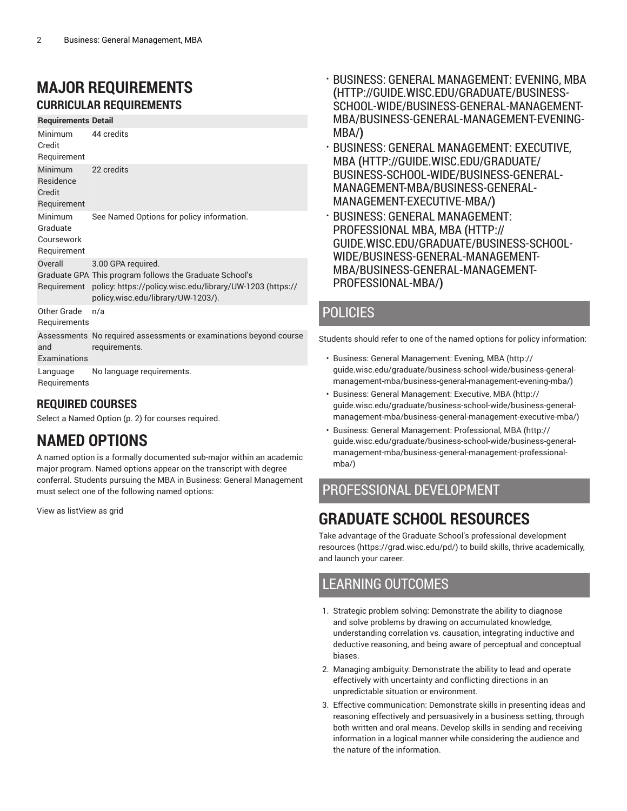#### **MAJOR REQUIREMENTS CURRICULAR REQUIREMENTS**

**Requirements Detail**

| Minimum<br>Credit<br>Requirement                     | 44 credits                                                                                                                                                                       |
|------------------------------------------------------|----------------------------------------------------------------------------------------------------------------------------------------------------------------------------------|
| <b>Minimum</b><br>Residence<br>Credit<br>Requirement | 22 credits                                                                                                                                                                       |
| Minimum<br>Graduate<br>Coursework<br>Requirement     | See Named Options for policy information.                                                                                                                                        |
| Overall<br>Requirement                               | 3.00 GPA required.<br>Graduate GPA This program follows the Graduate School's<br>policy. https://policy.wisc.edu/library/UW-1203 (https://<br>policy.wisc.edu/library/UW-1203/). |
| Other Grade<br>Requirements                          | n/a                                                                                                                                                                              |
| and<br>Examinations                                  | Assessments No required assessments or examinations beyond course<br>requirements.                                                                                               |
| Language<br>Requirements                             | No language requirements.                                                                                                                                                        |

#### **REQUIRED COURSES**

Select a [Named Option](#page-1-0) [\(p. 2](#page-1-0)) for courses required.

#### <span id="page-1-0"></span>**NAMED OPTIONS**

A named option is a formally documented sub-major within an academic major program. Named options appear on the transcript with degree conferral. Students pursuing the MBA in Business: General Management must select one of the following named options:

View as listView as grid

- BUSINESS: GENERAL [MANAGEMENT:](http://guide.wisc.edu/graduate/business-school-wide/business-general-management-mba/business-general-management-evening-mba/) EVENING, MBA **(**[HTTP://GUIDE.WISC.EDU/GRADUATE/BUSINESS-](http://guide.wisc.edu/graduate/business-school-wide/business-general-management-mba/business-general-management-evening-mba/)[SCHOOL-WIDE/BUSINESS-GENERAL-MANAGEMENT-](http://guide.wisc.edu/graduate/business-school-wide/business-general-management-mba/business-general-management-evening-mba/)[MBA/BUSINESS-GENERAL-MANAGEMENT-EVENING-](http://guide.wisc.edu/graduate/business-school-wide/business-general-management-mba/business-general-management-evening-mba/)[MBA/](http://guide.wisc.edu/graduate/business-school-wide/business-general-management-mba/business-general-management-evening-mba/)**)**
- BUSINESS: GENERAL [MANAGEMENT:](http://guide.wisc.edu/graduate/business-school-wide/business-general-management-mba/business-general-management-executive-mba/) EXECUTIVE, [MBA](http://guide.wisc.edu/graduate/business-school-wide/business-general-management-mba/business-general-management-executive-mba/) **(**[HTTP://GUIDE.WISC.EDU/GRADUATE/](http://guide.wisc.edu/graduate/business-school-wide/business-general-management-mba/business-general-management-executive-mba/) [BUSINESS-SCHOOL-WIDE/BUSINESS-GENERAL-](http://guide.wisc.edu/graduate/business-school-wide/business-general-management-mba/business-general-management-executive-mba/)[MANAGEMENT-MBA/BUSINESS-GENERAL-](http://guide.wisc.edu/graduate/business-school-wide/business-general-management-mba/business-general-management-executive-mba/)[MANAGEMENT-EXECUTIVE-MBA/](http://guide.wisc.edu/graduate/business-school-wide/business-general-management-mba/business-general-management-executive-mba/)**)**
- BUSINESS: GENERAL [MANAGEMENT:](http://guide.wisc.edu/graduate/business-school-wide/business-general-management-mba/business-general-management-professional-mba/) [PROFESSIONAL](http://guide.wisc.edu/graduate/business-school-wide/business-general-management-mba/business-general-management-professional-mba/) MBA, MBA **(**[HTTP://](http://guide.wisc.edu/graduate/business-school-wide/business-general-management-mba/business-general-management-professional-mba/) [GUIDE.WISC.EDU/GRADUATE/BUSINESS-SCHOOL-](http://guide.wisc.edu/graduate/business-school-wide/business-general-management-mba/business-general-management-professional-mba/)[WIDE/BUSINESS-GENERAL-MANAGEMENT-](http://guide.wisc.edu/graduate/business-school-wide/business-general-management-mba/business-general-management-professional-mba/)[MBA/BUSINESS-GENERAL-MANAGEMENT-](http://guide.wisc.edu/graduate/business-school-wide/business-general-management-mba/business-general-management-professional-mba/)[PROFESSIONAL-MBA/](http://guide.wisc.edu/graduate/business-school-wide/business-general-management-mba/business-general-management-professional-mba/)**)**

#### POLICIES

Students should refer to one of the named options for policy information:

- Business: General [Management:](http://guide.wisc.edu/graduate/business-school-wide/business-general-management-mba/business-general-management-evening-mba/) Evening, MBA [\(http://](http://guide.wisc.edu/graduate/business-school-wide/business-general-management-mba/business-general-management-evening-mba/) [guide.wisc.edu/graduate/business-school-wide/business-general](http://guide.wisc.edu/graduate/business-school-wide/business-general-management-mba/business-general-management-evening-mba/)[management-mba/business-general-management-evening-mba/](http://guide.wisc.edu/graduate/business-school-wide/business-general-management-mba/business-general-management-evening-mba/))
- Business: General [Management:](http://guide.wisc.edu/graduate/business-school-wide/business-general-management-mba/business-general-management-executive-mba/) Executive, MBA ([http://](http://guide.wisc.edu/graduate/business-school-wide/business-general-management-mba/business-general-management-executive-mba/) [guide.wisc.edu/graduate/business-school-wide/business-general](http://guide.wisc.edu/graduate/business-school-wide/business-general-management-mba/business-general-management-executive-mba/)[management-mba/business-general-management-executive-mba/](http://guide.wisc.edu/graduate/business-school-wide/business-general-management-mba/business-general-management-executive-mba/))
- Business: General [Management:](http://guide.wisc.edu/graduate/business-school-wide/business-general-management-mba/business-general-management-professional-mba/) Professional, MBA [\(http://](http://guide.wisc.edu/graduate/business-school-wide/business-general-management-mba/business-general-management-professional-mba/) [guide.wisc.edu/graduate/business-school-wide/business-general](http://guide.wisc.edu/graduate/business-school-wide/business-general-management-mba/business-general-management-professional-mba/)[management-mba/business-general-management-professional](http://guide.wisc.edu/graduate/business-school-wide/business-general-management-mba/business-general-management-professional-mba/)[mba/\)](http://guide.wisc.edu/graduate/business-school-wide/business-general-management-mba/business-general-management-professional-mba/)

#### PROFESSIONAL DEVELOPMENT

### **GRADUATE SCHOOL RESOURCES**

Take advantage of the Graduate School's professional [development](https://grad.wisc.edu/pd/) [resources \(https://grad.wisc.edu/pd/\)](https://grad.wisc.edu/pd/) to build skills, thrive academically, and launch your career.

#### LEARNING OUTCOMES

- 1. Strategic problem solving: Demonstrate the ability to diagnose and solve problems by drawing on accumulated knowledge, understanding correlation vs. causation, integrating inductive and deductive reasoning, and being aware of perceptual and conceptual biases.
- 2. Managing ambiguity: Demonstrate the ability to lead and operate effectively with uncertainty and conflicting directions in an unpredictable situation or environment.
- 3. Effective communication: Demonstrate skills in presenting ideas and reasoning effectively and persuasively in a business setting, through both written and oral means. Develop skills in sending and receiving information in a logical manner while considering the audience and the nature of the information.